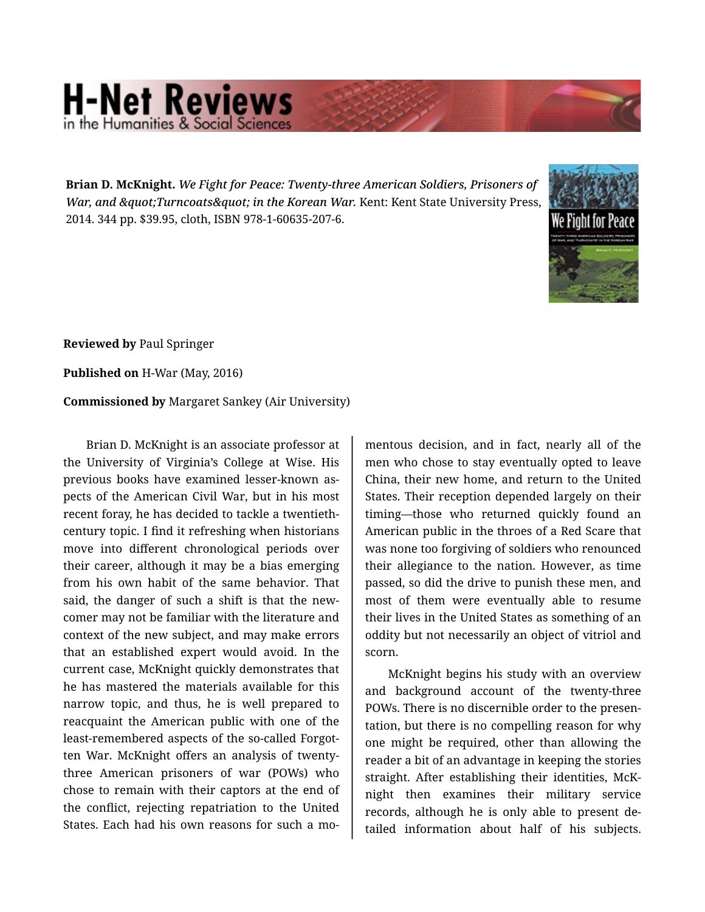## **H-Net Reviews** in the Humanities & Social S

**Brian D. McKnight.** *We Fight for Peace: Twenty-three American Soldiers, Prisoners of War, and " Turncoats" in the Korean War. Kent: Kent State University Press,* 2014. 344 pp. \$39.95, cloth, ISBN 978-1-60635-207-6.



**Reviewed by** Paul Springer

**Published on** H-War (May, 2016)

**Commissioned by** Margaret Sankey (Air University)

Brian D. McKnight is an associate professor at the University of Virginia's College at Wise. His previous books have examined lesser-known as‐ pects of the American Civil War, but in his most recent foray, he has decided to tackle a twentiethcentury topic. I find it refreshing when historians move into different chronological periods over their career, although it may be a bias emerging from his own habit of the same behavior. That said, the danger of such a shift is that the new‐ comer may not be familiar with the literature and context of the new subject, and may make errors that an established expert would avoid. In the current case, McKnight quickly demonstrates that he has mastered the materials available for this narrow topic, and thus, he is well prepared to reacquaint the American public with one of the least-remembered aspects of the so-called Forgot‐ ten War. McKnight offers an analysis of twentythree American prisoners of war (POWs) who chose to remain with their captors at the end of the conflict, rejecting repatriation to the United States. Each had his own reasons for such a mo‐

mentous decision, and in fact, nearly all of the men who chose to stay eventually opted to leave China, their new home, and return to the United States. Their reception depended largely on their timing—those who returned quickly found an American public in the throes of a Red Scare that was none too forgiving of soldiers who renounced their allegiance to the nation. However, as time passed, so did the drive to punish these men, and most of them were eventually able to resume their lives in the United States as something of an oddity but not necessarily an object of vitriol and scorn.

McKnight begins his study with an overview and background account of the twenty-three POWs. There is no discernible order to the presen‐ tation, but there is no compelling reason for why one might be required, other than allowing the reader a bit of an advantage in keeping the stories straight. After establishing their identities, McK‐ night then examines their military service records, although he is only able to present de‐ tailed information about half of his subjects.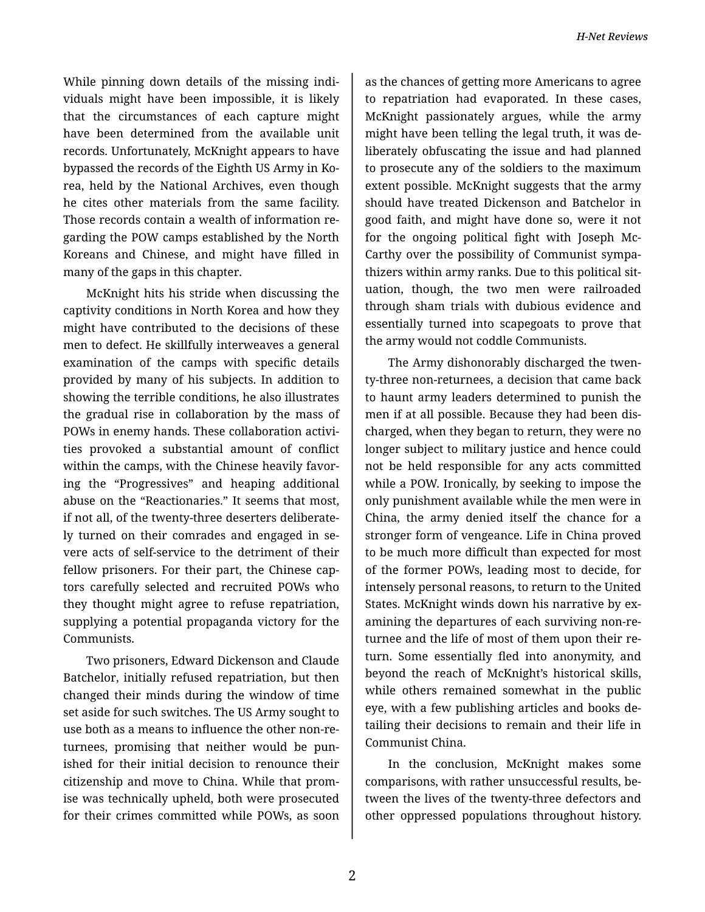While pinning down details of the missing indi‐ viduals might have been impossible, it is likely that the circumstances of each capture might have been determined from the available unit records. Unfortunately, McKnight appears to have bypassed the records of the Eighth US Army in Ko‐ rea, held by the National Archives, even though he cites other materials from the same facility. Those records contain a wealth of information re‐ garding the POW camps established by the North Koreans and Chinese, and might have filled in many of the gaps in this chapter.

McKnight hits his stride when discussing the captivity conditions in North Korea and how they might have contributed to the decisions of these men to defect. He skillfully interweaves a general examination of the camps with specific details provided by many of his subjects. In addition to showing the terrible conditions, he also illustrates the gradual rise in collaboration by the mass of POWs in enemy hands. These collaboration activi‐ ties provoked a substantial amount of conflict within the camps, with the Chinese heavily favoring the "Progressives" and heaping additional abuse on the "Reactionaries." It seems that most, if not all, of the twenty-three deserters deliberate‐ ly turned on their comrades and engaged in se‐ vere acts of self-service to the detriment of their fellow prisoners. For their part, the Chinese cap‐ tors carefully selected and recruited POWs who they thought might agree to refuse repatriation, supplying a potential propaganda victory for the Communists.

Two prisoners, Edward Dickenson and Claude Batchelor, initially refused repatriation, but then changed their minds during the window of time set aside for such switches. The US Army sought to use both as a means to influence the other non-re‐ turnees, promising that neither would be pun‐ ished for their initial decision to renounce their citizenship and move to China. While that prom‐ ise was technically upheld, both were prosecuted for their crimes committed while POWs, as soon

as the chances of getting more Americans to agree to repatriation had evaporated. In these cases, McKnight passionately argues, while the army might have been telling the legal truth, it was de‐ liberately obfuscating the issue and had planned to prosecute any of the soldiers to the maximum extent possible. McKnight suggests that the army should have treated Dickenson and Batchelor in good faith, and might have done so, were it not for the ongoing political fight with Joseph Mc‐ Carthy over the possibility of Communist sympa‐ thizers within army ranks. Due to this political sit‐ uation, though, the two men were railroaded through sham trials with dubious evidence and essentially turned into scapegoats to prove that the army would not coddle Communists.

The Army dishonorably discharged the twen‐ ty-three non-returnees, a decision that came back to haunt army leaders determined to punish the men if at all possible. Because they had been dis‐ charged, when they began to return, they were no longer subject to military justice and hence could not be held responsible for any acts committed while a POW. Ironically, by seeking to impose the only punishment available while the men were in China, the army denied itself the chance for a stronger form of vengeance. Life in China proved to be much more difficult than expected for most of the former POWs, leading most to decide, for intensely personal reasons, to return to the United States. McKnight winds down his narrative by ex‐ amining the departures of each surviving non-re‐ turnee and the life of most of them upon their re‐ turn. Some essentially fled into anonymity, and beyond the reach of McKnight's historical skills, while others remained somewhat in the public eye, with a few publishing articles and books de‐ tailing their decisions to remain and their life in Communist China.

In the conclusion, McKnight makes some comparisons, with rather unsuccessful results, be‐ tween the lives of the twenty-three defectors and other oppressed populations throughout history.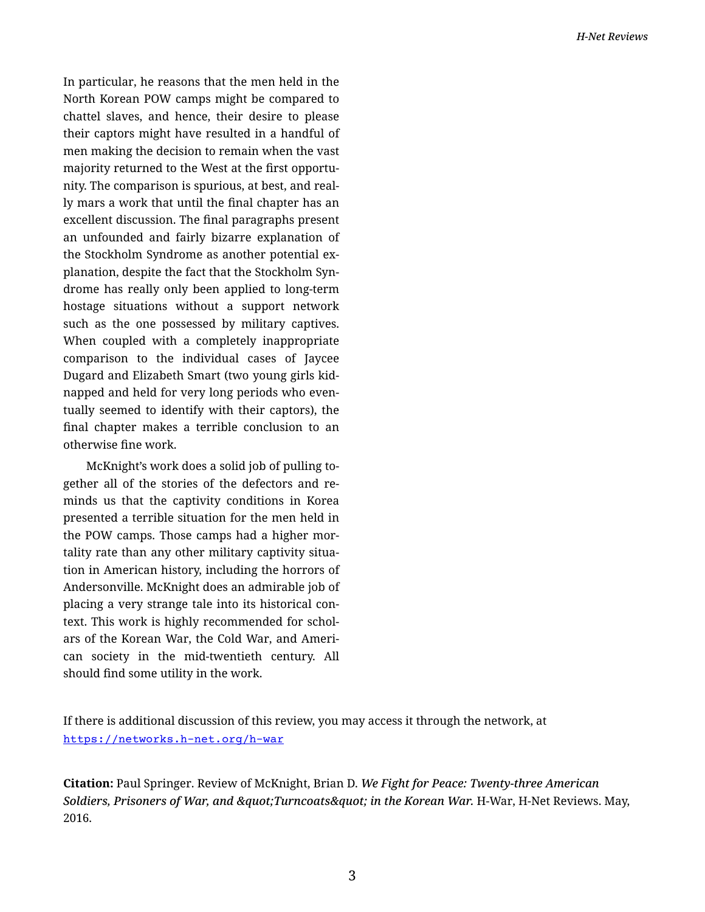In particular, he reasons that the men held in the North Korean POW camps might be compared to chattel slaves, and hence, their desire to please their captors might have resulted in a handful of men making the decision to remain when the vast majority returned to the West at the first opportu‐ nity. The comparison is spurious, at best, and real‐ ly mars a work that until the final chapter has an excellent discussion. The final paragraphs present an unfounded and fairly bizarre explanation of the Stockholm Syndrome as another potential ex‐ planation, despite the fact that the Stockholm Syn‐ drome has really only been applied to long-term hostage situations without a support network such as the one possessed by military captives. When coupled with a completely inappropriate comparison to the individual cases of Jaycee Dugard and Elizabeth Smart (two young girls kid‐ napped and held for very long periods who even‐ tually seemed to identify with their captors), the final chapter makes a terrible conclusion to an otherwise fine work.

McKnight's work does a solid job of pulling to‐ gether all of the stories of the defectors and re‐ minds us that the captivity conditions in Korea presented a terrible situation for the men held in the POW camps. Those camps had a higher mor‐ tality rate than any other military captivity situa‐ tion in American history, including the horrors of Andersonville. McKnight does an admirable job of placing a very strange tale into its historical con‐ text. This work is highly recommended for schol‐ ars of the Korean War, the Cold War, and Ameri‐ can society in the mid-twentieth century. All should find some utility in the work.

If there is additional discussion of this review, you may access it through the network, at <https://networks.h-net.org/h-war>

**Citation:** Paul Springer. Review of McKnight, Brian D. *We Fight for Peace: Twenty-three American* Soldiers, Prisoners of War, and " Turncoats" in the Korean War. H-War, H-Net Reviews. May, 2016.